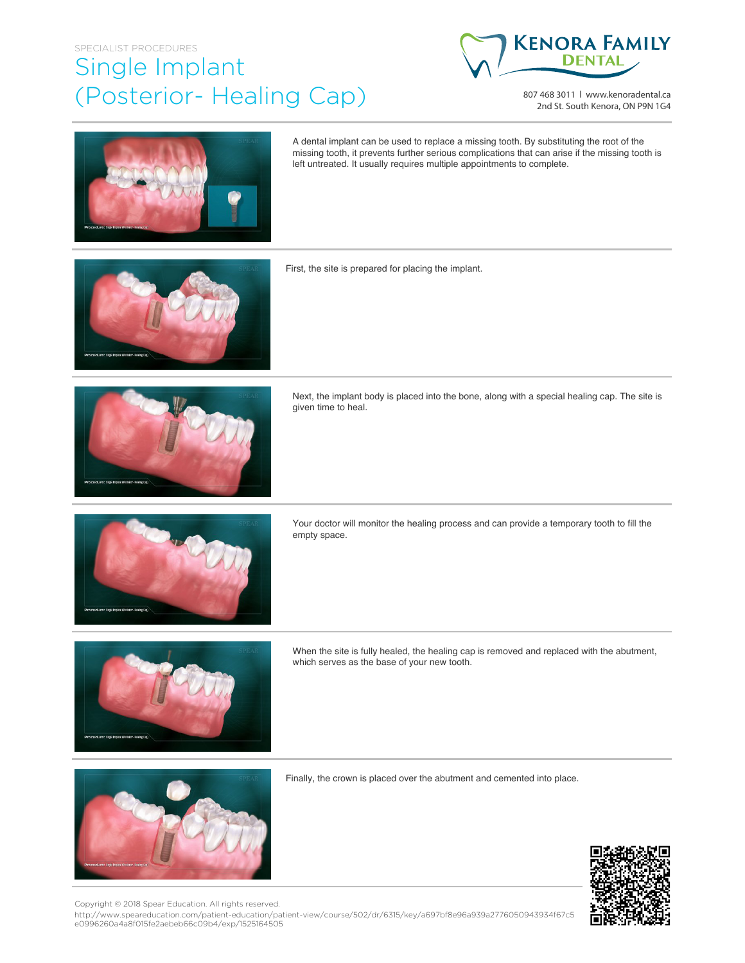## SPECIALIST PROCEDURES Single Implant (Posterior- Healing Cap)



807 468 3011 | www.kenoradental.ca 2nd St. South Kenora, ON P9N 1G4



A dental implant can be used to replace a missing tooth. By substituting the root of the missing tooth, it prevents further serious complications that can arise if the missing tooth is left untreated. It usually requires multiple appointments to complete.



First, the site is prepared for placing the implant.



Next, the implant body is placed into the bone, along with a special healing cap. The site is given time to heal.



Your doctor will monitor the healing process and can provide a temporary tooth to fill the empty space.



When the site is fully healed, the healing cap is removed and replaced with the abutment, which serves as the base of your new tooth.



Finally, the crown is placed over the abutment and cemented into place.



Copyright © 2018 Spear Education. All rights reserved.

http://www.speareducation.com/patient-education/patient-view/course/502/dr/6315/key/a697bf8e96a939a2776050943934f67c5 e0996260a4a8f015fe2aebeb66c09b4/exp/1525164505